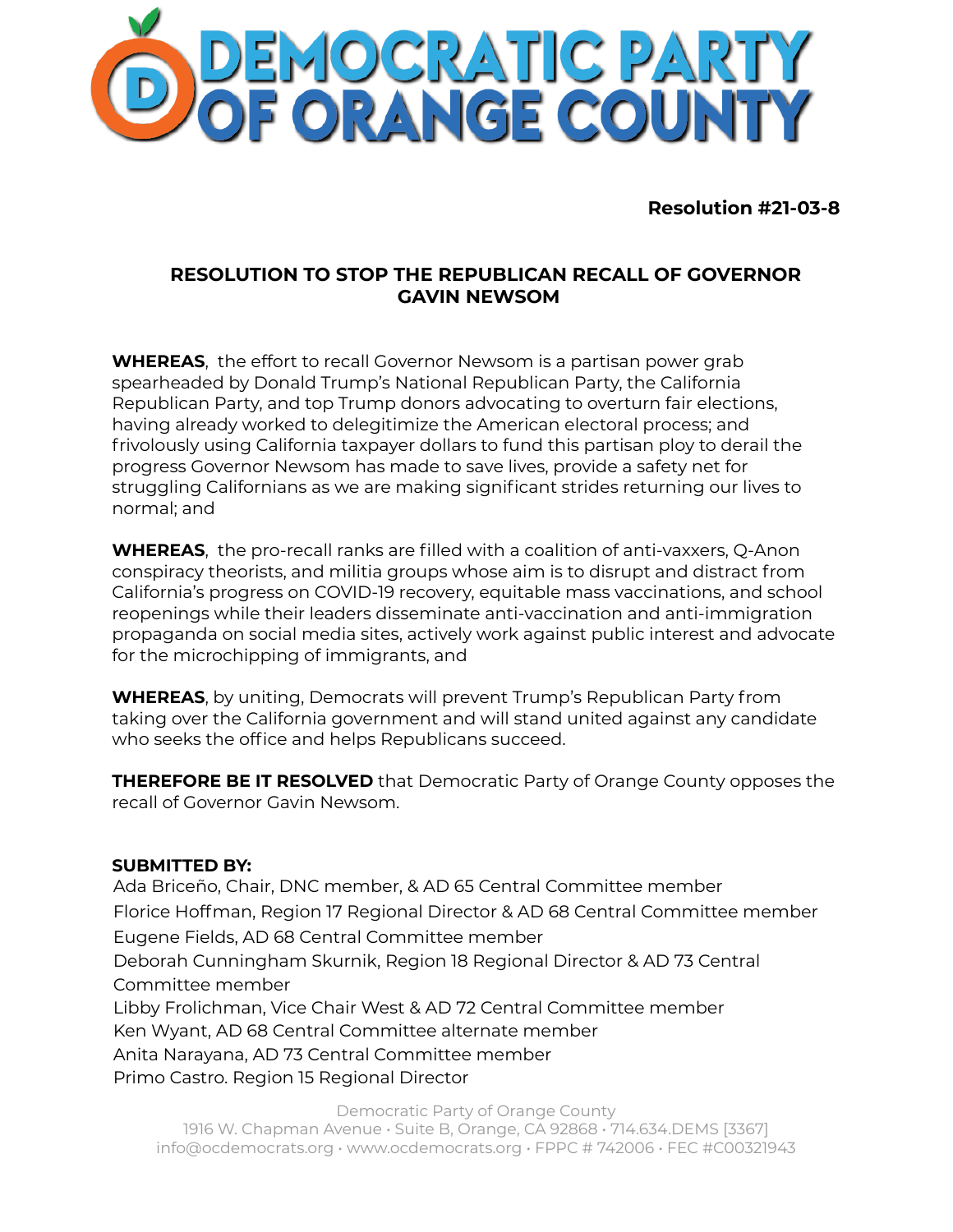

**Resolution #21-03-8**

## **RESOLUTION TO STOP THE REPUBLICAN RECALL OF GOVERNOR GAVIN NEWSOM**

**WHEREAS**, the effort to recall Governor Newsom is a partisan power grab spearheaded by Donald Trump's National Republican Party, the California Republican Party, and top Trump donors advocating to overturn fair elections, having already worked to delegitimize the American electoral process; and frivolously using California taxpayer dollars to fund this partisan ploy to derail the progress Governor Newsom has made to save lives, provide a safety net for struggling Californians as we are making significant strides returning our lives to normal; and

**WHEREAS**, the pro-recall ranks are filled with a coalition of anti-vaxxers, O-Anon conspiracy theorists, and militia groups whose aim is to disrupt and distract from California's progress on COVID-19 recovery, equitable mass vaccinations, and school reopenings while their leaders disseminate anti-vaccination and anti-immigration propaganda on social media sites, actively work against public interest and advocate for the microchipping of immigrants, and

**WHEREAS**, by uniting, Democrats will prevent Trump's Republican Party from taking over the California government and will stand united against any candidate who seeks the office and helps Republicans succeed.

**THEREFORE BE IT RESOLVED** that Democratic Party of Orange County opposes the recall of Governor Gavin Newsom.

## **SUBMITTED BY:**

Ada Briceño, Chair, DNC member, & AD 65 Central Committee member Florice Hoffman, Region 17 Regional Director & AD 68 Central Committee member Eugene Fields, AD 68 Central Committee member Deborah Cunningham Skurnik, Region 18 Regional Director & AD 73 Central Committee member Libby Frolichman, Vice Chair West & AD 72 Central Committee member Ken Wyant, AD 68 Central Committee alternate member Anita Narayana, AD 73 Central Committee member Primo Castro. Region 15 Regional Director

Democratic Party of Orange County 1916 W. Chapman Avenue • Suite B, Orange, CA 92868 • 714.634.DEMS [3367] info@ocdemocrats.org • www.ocdemocrats.org • FPPC # 742006 • FEC #C00321943